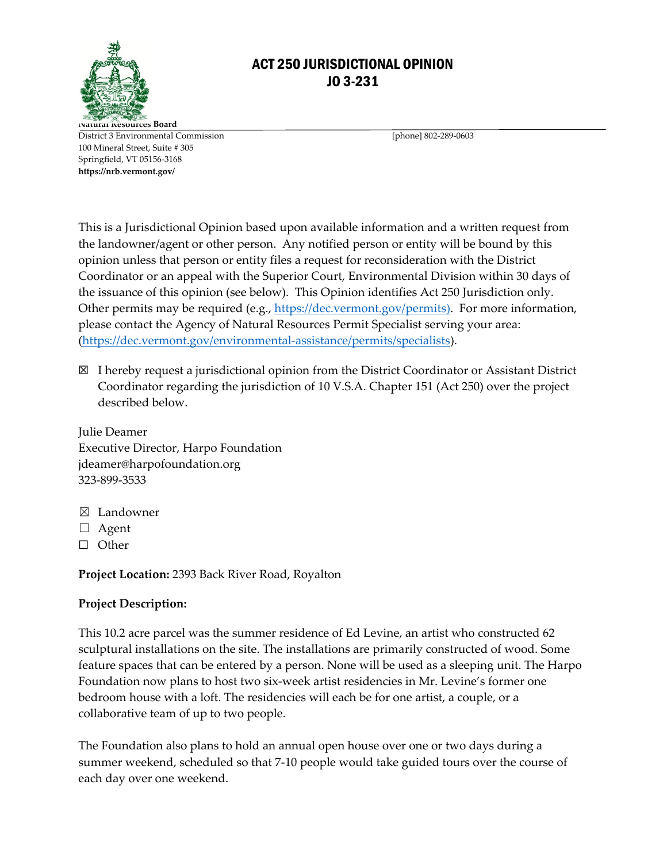

## ACT 250 JURISDICTIONAL OPINION JO 3-231

**Natural Resources Board** District 3 Environmental Commission [phone] 802-289-0603 100 Mineral Street, Suite # 305 Springfield, VT 05156-3168 **https://nrb.vermont.gov/**

This is a Jurisdictional Opinion based upon available information and a written request from the landowner/agent or other person. Any notified person or entity will be bound by this opinion unless that person or entity files a request for reconsideration with the District Coordinator or an appeal with the Superior Court, Environmental Division within 30 days of the issuance of this opinion (see below).This Opinion identifies Act 250 Jurisdiction only. Other permits may be required (e.g., [https://dec.vermont.gov/permits\)](https://dec.vermont.gov/permits). For more information, please contact the Agency of Natural Resources Permit Specialist serving your area: [\(https://dec.vermont.gov/environmental-assistance/permits/specialists\)](https://dec.vermont.gov/environmental-assistance/permits/specialists).

☒ I hereby request a jurisdictional opinion from the District Coordinator or Assistant District Coordinator regarding the jurisdiction of 10 V.S.A. Chapter 151 (Act 250) over the project described below.

Julie Deamer Executive Director, Harpo Foundation jdeamer@harpofoundation.org 323-899-3533

- ☒ Landowner
- ☐ Agent
- ☐ Other

**Project Location:** 2393 Back River Road, Royalton

## **Project Description:**

This 10.2 acre parcel was the summer residence of Ed Levine, an artist who constructed 62 sculptural installations on the site. The installations are primarily constructed of wood. Some feature spaces that can be entered by a person. None will be used as a sleeping unit. The Harpo Foundation now plans to host two six-week artist residencies in Mr. Levine's former one bedroom house with a loft. The residencies will each be for one artist, a couple, or a collaborative team of up to two people.

The Foundation also plans to hold an annual open house over one or two days during a summer weekend, scheduled so that 7-10 people would take guided tours over the course of each day over one weekend.